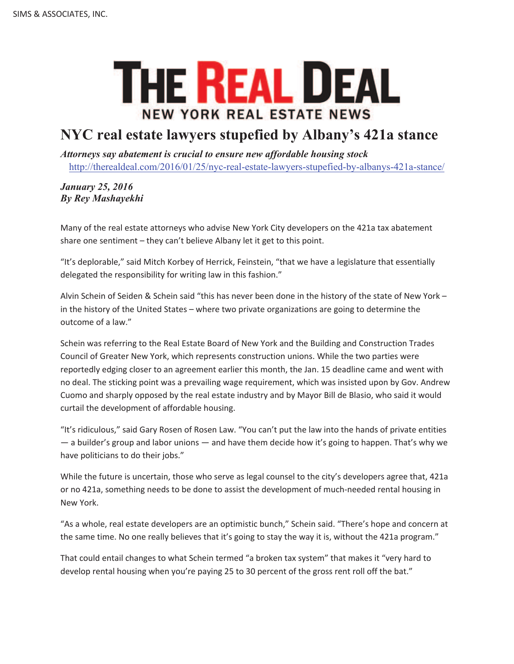## **THE REAL DEAL NEW YORK REAL ESTATE NEWS**

## **NYC real estate lawyers stupefied by Albany's 421a stance**

*Attorneys say abatement is crucial to ensure new affordable housing stock* http://therealdeal.com/2016/01/25/nyc-real-estate-lawyers-stupefied-by-albanys-421a-stance/

## *January 25, 2016 By Rey Mashayekhi*

Many of the real estate attorneys who advise New York City developers on the 421a tax abatement share one sentiment – they can't believe Albany let it get to this point.

"It's deplorable," said Mitch Korbey of Herrick, Feinstein, "that we have a legislature that essentially delegated the responsibility for writing law in this fashion."

Alvin Schein of Seiden & Schein said "this has never been done in the history of the state of New York – in the history of the United States – where two private organizations are going to determine the outcome of a law."

Schein was referring to the Real Estate Board of New York and the Building and Construction Trades Council of Greater New York, which represents construction unions. While the two parties were reportedly edging closer to an agreement earlier this month, the Jan. 15 deadline came and went with no deal. The sticking point was a prevailing wage requirement, which was insisted upon by Gov. Andrew Cuomo and sharply opposed by the real estate industry and by Mayor Bill de Blasio, who said it would curtail the development of affordable housing.

"It's ridiculous," said Gary Rosen of Rosen Law. "You can't put the law into the hands of private entities — a builder's group and labor unions — and have them decide how it's going to happen. That's why we have politicians to do their jobs."

While the future is uncertain, those who serve as legal counsel to the city's developers agree that, 421a or no 421a, something needs to be done to assist the development of much-needed rental housing in New York.

"As a whole, real estate developers are an optimistic bunch," Schein said. "There's hope and concern at the same time. No one really believes that it's going to stay the way it is, without the 421a program."

That could entail changes to what Schein termed "a broken tax system" that makes it "very hard to develop rental housing when you're paying 25 to 30 percent of the gross rent roll off the bat."